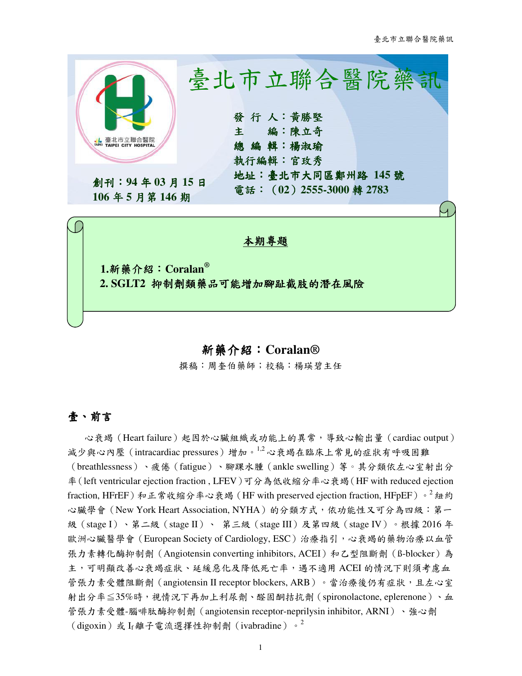

## 新藥介紹:**Coralan®**

撰稿:周奎伯藥師;校稿:楊瑛碧主任

## 壹、前言

心衰竭(Heart failure)起因於心臟組織或功能上的異常,導致心輸出量(cardiac output) 減少與心內壓 (intracardiac pressures)增加。1,2 心衰竭在臨床上常見的症狀有呼吸困難 (breathlessness)、疲倦(fatigue)、腳踝水腫(ankle swelling)等。其分類依左心室射出分 率(left ventricular ejection fraction , LFEV)可分為低收縮分率心衰竭(HF with reduced ejection fraction, HFrEF)和正常收縮分率心衰竭 (HF with preserved ejection fraction, HFpEF)。<sup>2</sup> 紐約 心臟學會(New York Heart Association, NYHA)的分類方式,依功能性又可分為四級:第一 級(stage I)、第二級(stage II)、 第三級(stage III)及第四級(stage IV)。根據 2016 年 歐洲心臟醫學會(European Society of Cardiology, ESC)治療指引,心衰竭的藥物治療以血管 張力素轉化酶抑制劑 (Angiotensin converting inhibitors, ACEI) 和乙型阻斷劑 (ß-blocker)為 主,可明顯改善心衰竭症狀、延緩惡化及降低死亡率,遇不適用 ACEI 的情況下則須考慮血 管張力素受體阻斷劑 (angiotensin II receptor blockers, ARB)。當治療後仍有症狀,且左心室 射出分率≦35%時,視情況下再加上利尿劑、醛固酮拮抗劑(spironolactone, eplerenone)、血 管張力素受體-腦啡肽酶抑制劑(angiotensin receptor-neprilysin inhibitor, ARNI)、強心劑 (digoxin)或 If離子電流選擇性抑制劑 (ivabradine)。<sup>2</sup>

1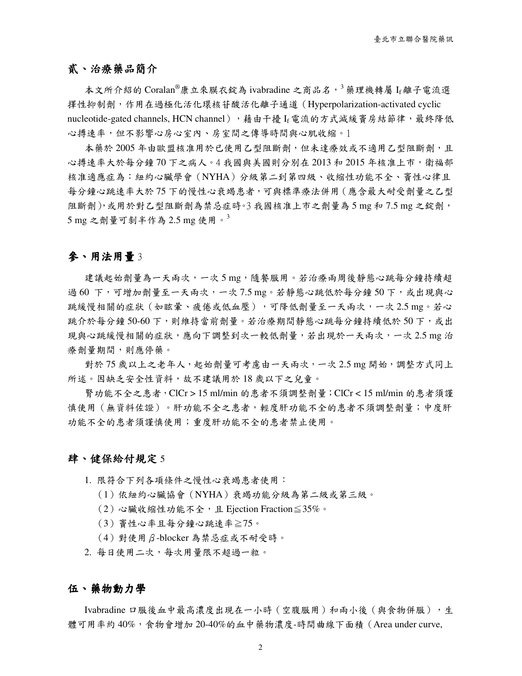## 貳、治療藥品簡介

本文所介紹的 Coralan®康立來膜衣錠為 ivabradine 之商品名,<sup>3</sup> 藥理機轉屬 If 離子電流選 擇性抑制劑,作用在過極化活化環核苷酸活化離子通道(Hyperpolarization-activated cyclic nucleotide-gated channels, HCN channel), 藉由干擾 If 電流的方式減緩竇房結節律,最終降低 心搏速率,但不影響心房心室內、房室間之傳導時間與心肌收縮。1

本藥於 2005 年由歐盟核准用於已使用乙型阻斷劑,但未達療效或不適用乙型阻斷劑,且 心搏速率大於每分鐘 70 下之病人。4 我國與美國則分別在 2013 和 2015 年核准上市,衛福部 核准適應症為:紐約心臟學會(NYHA)分級第二到第四級、收縮性功能不全、竇性心律且 每分鐘心跳速率大於 75 下的慢性心衰竭患者,可與標準療法併用(應含最大耐受劑量之乙型 阻斷劑),或用於對乙型阻斷劑為禁忌症時。3 我國核准上市之劑量為 5 mg 和 7.5 mg 之錠劑,  $5 \text{ mg}$  之劑量可剝半作為  $2.5 \text{ mg}$  使用。 $^3$ 

## 參、用法用量 3

建議起始劑量為一天兩次,一次 5 mg,隨餐服用。若治療兩周後靜態心跳每分鐘持續超 過60 下,可增加劑量至一天兩次,一次7.5 mg。若靜態心跳低於每分鐘50 下,或出現與心 跳緩慢相關的症狀 (如眩暈、疲倦或低血壓),可降低劑量至一天兩次,一次 2.5 mg。若心 跳介於每分鐘 50-60 下,則維持當前劑量。若治療期間靜態心跳每分鐘持續低於 50 下,或出 現與心跳緩慢相關的症狀,應向下調整到次一較低劑量,若出現於一天兩次,一次 2.5 mg 治 療劑量期間,則應停藥。

對於 75 歲以上之老年人, 起始劑量可考慮由一天兩次, 一次 2.5 mg 開始, 調整方式同上 所述。因缺乏安全性資料,故不建議用於18歲以下之兒童。

腎功能不全之患者,ClCr > 15 ml/min 的患者不須調整劑量;ClCr < 15 ml/min 的患者須謹 慎使用(無資料佐證)。肝功能不全之患者,輕度肝功能不全的患者不須調整劑量;中度肝 功能不全的患者須謹慎使用;重度肝功能不全的患者禁止使用。

### 肆、健保給付規定 5

1. 限符合下列各項條件之慢性心衰竭患者使用:

- (1)依紐約心臟協會(NYHA)衰竭功能分級為第二級或第三級。
- $(2)$ 心臟收縮性功能不全,且 Ejection Fraction≦35%。
- (3)竇性心率且每分鐘心跳速率≧75。
- (4)對使用β-blocker 為禁忌症或不耐受時。
- 2. 每日使用二次,每次用量限不超過一粒。

### 伍、藥物動力學

Ivabradine 口服後血中最高濃度出現在一小時 (空腹服用)和兩小後 (與食物併服),生 體可用率約 40%,食物會增加 20-40%的血中藥物濃度-時間曲線下面積(Area under curve,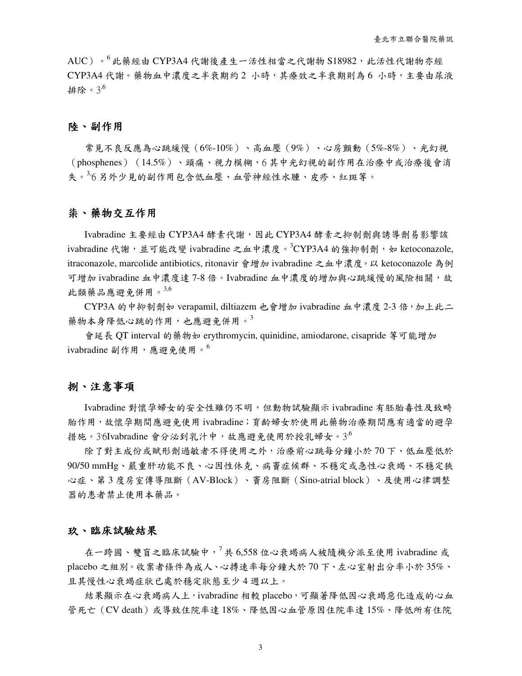$\mathrm{AUC}$ )。 $^6$  此藥經由 CYP3A4 代謝後產生一活性相當之代謝物 S18982,此活性代謝物亦經 CYP3A4 代謝。藥物血中濃度之半衰期約 2 小時,其療效之半衰期則為 6 小時,主要由尿液 排除。3<sup>,6</sup>

### 陸、副作用

常見不良反應為心跳緩慢(6%-10%)、高血壓(9%)、心房顫動(5%-8%)、光幻視 (phosphenes)(14.5%)、頭痛、視力模糊,6 其中光幻視的副作用在治療中或治療後會消 失。<sup>3,</sup>6 另外少見的副作用包含低血壓、血管神經性水腫、皮疹、紅斑等。

### 柒、藥物交互作用

Ivabradine 主要經由 CYP3A4 酵素代謝,因此 CYP3A4 酵素之抑制劑與誘導劑易影響該 ivabradine代謝,並可能改變 ivabradine 之血中濃度。3CYP3A4 的強抑制劑, 如 ketoconazole, itraconazole, marcolide antibiotics, ritonavir 會增加 ivabradine 之血中濃度。以 ketoconazole 為例 可增加 ivabradine 血中濃度達 7-8 倍。Ivabradine 血中濃度的增加與心跳緩慢的風險相關,故 此類藥品應避免併用。3,6

CYP3A 的中抑制劑如 verapamil, diltiazem 也會增加 ivabradine 血中濃度 2-3 倍, 加上此二 藥物本身降低心跳的作用,也應避免併用。3

會延長 QT interval 的藥物如 erythromycin, quinidine, amiodarone, cisapride 等可能增加 ivabradine 副作用,應避免使用。

## 捌、注意事項

Ivabradine 對懷孕婦女的安全性雖仍不明,但動物試驗顯示 ivabradine 有胚胎毒性及致畸 胎作用,故懷孕期間應避免使用 ivabradine;育齡婦女於使用此藥物治療期間應有適當的避孕 措施。 $3$ '6Ivabradine 會分泌到乳汁中,故應避免使用於授乳婦女。 $3^6$ 

除了對主成份或賦形劑過敏者不得使用之外,治療前心跳每分鐘小於 70 下、低血壓低於 90/50 mmHg、嚴重肝功能不良、心因性休克、病竇症候群、不穩定或急性心衰竭、不穩定狹 心症、第 3 度房室傳導阻斷(AV-Block)、竇房阻斷(Sino-atrial block)、及使用心律調整 器的患者禁止使用本藥品。

### 玖、臨床試驗結果

在一跨國、雙盲之臨床試驗中, $7 + 6,558$ 位心衰竭病人被隨機分派至使用 ivabradine 或 placebo 之組別。收案者條件為成人、心搏速率每分鐘大於 70 下、左心室射出分率小於 35%、 且其慢性心衰竭症狀已處於穩定狀態至少 4 週以上。

結果顯示在心衰竭病人上, ivabradine 相較 placebo, 可顯著降低因心衰竭惡化造成的心血 管死亡(CV death)或導致住院率達 18%、降低因心血管原因住院率達 15%、降低所有住院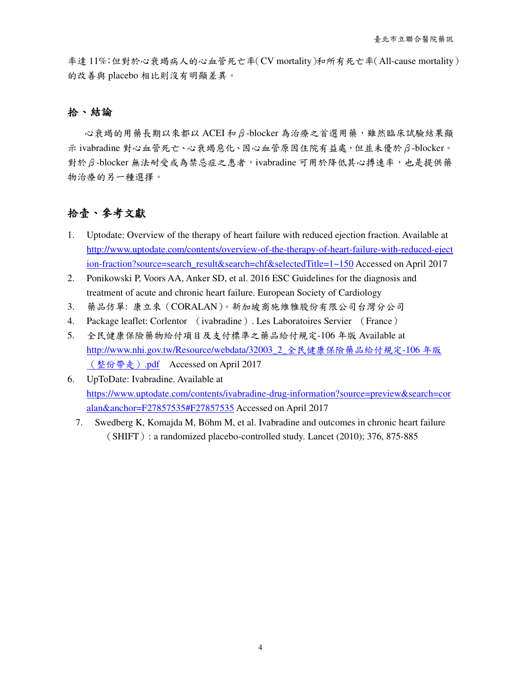率達 11%;但對於心衰竭病人的心血管死亡率(CV mortality)和所有死亡率(All-cause mortality) 的改善與 placebo 相比則沒有明顯差異。

## 拾、結論

心衰竭的用藥長期以來都以 ACEI 和β-blocker 為治療之首選用藥,雖然臨床試驗結果顯 示 ivabradine 對心血管死亡、心衰竭惡化、因心血管原因住院有益處,但並未優於β-blocker。 對於β-blocker 無法耐受或為禁忌症之患者, ivabradine 可用於降低其心搏速率, 也是提供藥 物治療的另一種選擇。

# 拾壹、參考文獻

- 1. Uptodate: Overview of the therapy of heart failure with reduced ejection fraction. Available at http://www.uptodate.com/contents/overview-of-the-therapy-of-heart-failure-with-reduced-eject ion-fraction?source=search\_result&search=chf&selectedTitle=1~150 Accessed on April 2017
- 2. Ponikowski P, Voors AA, Anker SD, et al. 2016 ESC Guidelines for the diagnosis and treatment of acute and chronic heart failure. European Society of Cardiology
- 3. 藥品仿單: 康立來(CORALAN)。新加坡商施維雅股份有限公司台灣分公司
- 4. Package leaflet: Corlentor (ivabradine). Les Laboratoires Servier (France)
- 5. 全民健康保險藥物給付項目及支付標準之藥品給付規定-106 年版 Available at http://www.nhi.gov.tw/Resource/webdata/32003\_2\_全民健康保險藥品給付規定-106 年版 (整份帶走).pdf Accessed on April 2017
- 6. UpToDate: Ivabradine. Available at https://www.uptodate.com/contents/ivabradine-drug-information?source=preview&search=cor alan&anchor=F27857535#F27857535 Accessed on April 2017
	- 7. Swedberg K, Komajda M, Böhm M, et al. Ivabradine and outcomes in chronic heart failure  $(SHIFT)$ : a randomized placebo-controlled study. Lancet (2010); 376, 875-885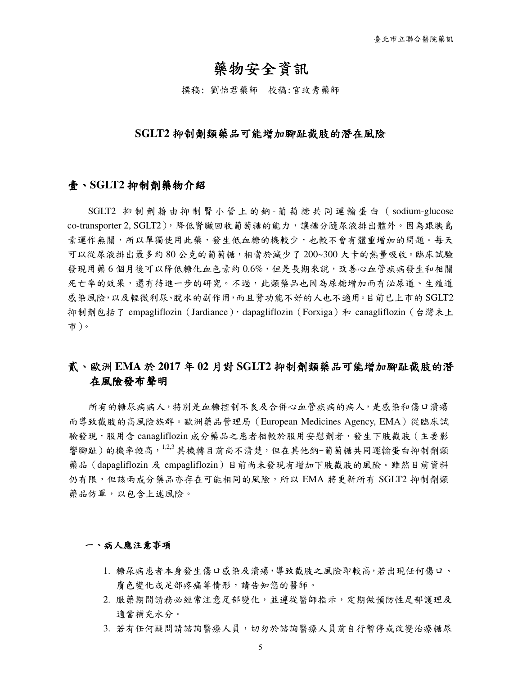# 藥物安全資訊

撰稿: 劉怡君藥師 校稿:官玫秀藥師

### **SGLT2** 抑制劑類藥品可能增加腳趾截肢的潛在風險

### 壹、**SGLT2** 抑制劑藥物介紹

SGLT2 抑 制 劑 藉 由 抑 制 腎 小 管 上 的 鈉 - 葡 萄 糖 共 同 運 輸 蛋 白 ( sodium-glucose co-transporter 2, SGLT2), 降低腎臟回收葡萄糖的能力,讓糖分隨尿液排出體外。因為跟胰島 素運作無關,所以單獨使用此藥,發生低血糖的機較少,也較不會有體重增加的問題。每天 可以從尿液排出最多約 80 公克的葡萄糖,相當於減少了 200~300 大卡的熱量吸收。臨床試驗 發現用藥 6 個月後可以降低糖化血色素約 0.6%,但是長期來說,改善心血管疾病發生和相關 死亡率的效果,還有待進一步的研究。不過,此類藥品也因為尿糖增加而有泌尿道、生殖道 感染風險,以及輕微利尿、脫水的副作用,而且腎功能不好的人也不適用。目前已上市的 SGLT2 抑制劑包括了 empagliflozin (Jardiance), dapagliflozin (Forxiga) 和 canagliflozin (台灣未上 市)。

## 貳、歐洲 **EMA** 於 **2017** 年 **02** 月對 **SGLT2** 抑制劑類藥品可能增加 抑制劑類藥品可能增加腳趾截肢的潛 在風險發布聲明

所有的糖尿病病人,特別是血糖控制不良及合併心血管疾病的病人,是感染和傷口潰瘍 而導致截肢的高風險族群。歐洲藥品管理局(European Medicines Agency, EMA)從臨床試 驗發現,服用含 canagliflozin 成分藥品之患者相較於服用安慰劑者,發生下肢截肢(主要影 響腳趾)的機率較高, 1,2,3 其機轉目前尚不清楚, 但在其他鈉-葡萄糖共同運輸蛋白抑制劑類 藥品(dapagliflozin 及 empagliflozin)目前尚未發現有增加下肢截肢的風險。雖然目前資料 仍有限,但該兩成分藥品亦存在可能相同的風險,所以 EMA 將更新所有 SGLT2 抑制劑類 藥品仿單,以包含上述風險。

#### 一、病人應注意事項

- 1. 糖尿病患者本身發生傷口感染及潰瘍,導致截肢之風險即較高,若出現任何傷口、 膚色變化或足部疼痛等情形,請告知您的醫師。
- 2. 服藥期間請務必經常注意足部變化,並遵從醫師指示,定期做預防性足部護理及 適當補充水分。
- 3. 若有任何疑問請諮詢醫療人員が諮詢醫療人員前自行暫停或改變治療糖尿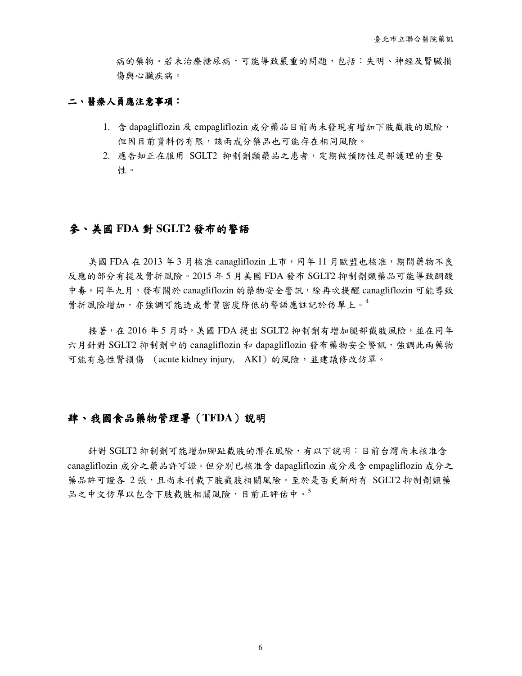病的藥物。若未治療糖尿病,可能導致嚴重的問題,包括:失明、神經及腎臟損 傷與心臟疾病。

### 二、醫療人員應注意事項:

- 1. 含 dapagliflozin 及 empagliflozin 成分藥品目前尚未發現有增加下肢截肢的風險, 但因目前資料仍有限,該兩成分藥品也可能存在相同風險。
- 2. 應告知正在服用 SGLT2 抑制劑類藥品之患者,定期做預防性足部護理的重要 性。

## 參、美國 **FDA** 對 **SGLT2** 發布的警語

美國 FDA 在 2013年3 月核准 canagliflozin 上市,同年11 月歐盟也核准,期間藥物不良 反應的部分有提及骨折風險。2015 年 5 月美國 FDA 發布 SGLT2 抑制劑類藥品可能導致酮酸 中毒。同年九月,發布關於 canagliflozin 的藥物安全警訊,除再次提醒 canagliflozin 可能導致 骨折風險增加,亦強調可能造成骨質密度降低的警語應註記於仿單上。<sup>4</sup>

接著,在 2016 年 5 月時, 美國 FDA 提出 SGLT2 抑制劑有增加腿部截肢風險,並在同年 六月針對 SGLT2 抑制劑中的 canagliflozin 和 dapagliflozin 發布藥物安全警訊, 強調此兩藥物 可能有急性腎損傷 (acute kidney injury, AKI)的風險,並建議修改仿單。

## 肆、我國食品藥物管理署(TFDA)說明

針對 SGLT2 抑制劑可能增加腳趾截肢的潛在風險,有以下說明: 目前台灣尚未核准含 canagliflozin 成分之藥品許可證。但分別已核准含 dapagliflozin 成分及含 empagliflozin 成分之 藥品許可證各 2 張,且尚未刊載下肢截肢相關風險。至於是否更新所有 SGLT2 抑制劑類藥 品之中文仿單以包含下肢截肢相關風險, 目前正評估中。<sup>5</sup>